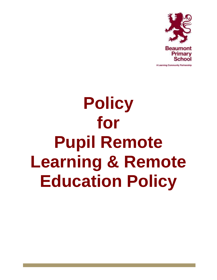

A Learning Community Partnership

# **Policy for Pupil Remote Learning & Remote Education Policy**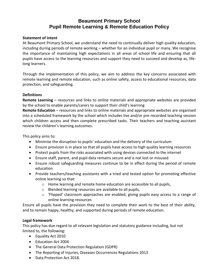# **Beaumont Primary School Pupil Remote Learning & Remote Education Policy**

# **Statement of intent**

At Beaumont Primary School, we understand the need to continually deliver high quality education, including during periods of remote working – whether for an individual pupil or many. We recognise the importance of maintaining high expectations in all areas of school life and ensuring that all pupils have access to the learning resources and support they need to succeed and develop as, lifelong learners.

Through the implementation of this policy, we aim to address the key concerns associated with remote learning and remote education, such as online safety, access to educational resources, data protection, and safeguarding.

#### **Definitions**

**Remote Learning** – resources and links to online materials and appropriate websites are provided by the school to enable parents/carers to support their child's learning

**Remote Education** – resources and links to online materials and appropriate websites are organised into a scheduled framework by the school which includes live and/or pre-recorded teaching session which children access and then complete prescribed tasks. Their teachers and teaching assistant review the children's learning outcomes.

This policy aims to:

- Minimise the disruption to pupils' education and the delivery of the curriculum
- Ensure provision is in place so that all pupils have access to high quality learning resources
- Protect pupils from the risks associated with using devices connected to the internet
- Ensure staff, parent, and pupil data remains secure and is not lost or misused
- Ensure robust safeguarding measures continue to be in effect during the period of remote education
- Provide teachers/teaching assistants with a tried and tested option for promoting effective online learning so that:
	- o Home learning and remote home education are accessible to all pupils,
	- o Blended learning resources are available to all pupils,
	- $\circ$  'Flipped' classroom approaches are enabled, giving pupils easy access to a range of online learning resources

Ensure all pupils have the provision they need to complete their work to the best of their ability, and to remain happy, healthy, and supported during periods of remote education.

# **Legal framework**

This policy has due regard to all relevant legislation and statutory guidance including, but not limited to, the following:

- Equality Act 2010
- Education Act 2004
- The General Data Protection Regulation (GDPR)
- The Reporting of Injuries, Diseases Occurrences Regulations 2013
- Data Protection Act 2018.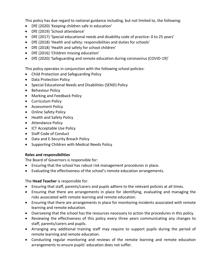This policy has due regard to national guidance including, but not limited to, the following:

- DfE (2020) 'Keeping children safe in education'
- DfE (2019) 'School attendance'
- DfE (2017) 'Special educational needs and disability code of practice: 0 to 25 years'
- DfE (2018) 'Health and safety: responsibilities and duties for schools'
- DfE (2018) 'Health and safety for school children'
- DfE (2016) 'Children missing education'
- DfE (2020) 'Safeguarding and remote education during coronavirus (COVID-19)'

This policy operates in conjunction with the following school policies:

- Child Protection and Safeguarding Policy
- Data Protection Policy
- Special Educational Needs and Disabilities (SEND) Policy
- **•** Behaviour Policy
- Marking and Feedback Policy
- Curriculum Policy
- Assessment Policy
- Online Safety Policy
- Health and Safety Policy
- **•** Attendance Policy
- ICT Acceptable Use Policy
- Staff Code of Conduct
- Data and E-Security Breach Policy
- Supporting Children with Medical Needs Policy

#### **Roles and responsibilities**

The Board of Governors is responsible for:

- Ensuring that the school has robust risk management procedures in place.
- Evaluating the effectiveness of the school's remote education arrangements.

The **Head Teacher** is responsible for:

- Ensuring that staff, parents/carers and pupils adhere to the relevant policies at all times.
- Ensuring that there are arrangements in place for identifying, evaluating and managing the risks associated with remote learning and remote education.
- Ensuring that there are arrangements in place for monitoring incidents associated with remote learning and remote education.
- Overseeing that the school has the resources necessary to action the procedures in this policy.
- Reviewing the effectiveness of this policy every three years communicating any changes to staff, parents/carers and pupils.
- Arranging any additional training staff may require to support pupils during the period of remote learning and remote education.
- Conducting regular monitoring and reviews of the remote learning and remote education arrangements to ensure pupils' education does not suffer.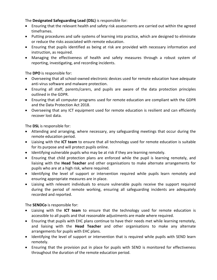The **Designated Safeguarding Lead (DSL)** is responsible for:

- Ensuring that the relevant health and safety risk assessments are carried out within the agreed timeframes.
- Putting procedures and safe systems of learning into practice, which are designed to eliminate or reduce the risks associated with remote education.
- Ensuring that pupils identified as being at risk are provided with necessary information and instruction, as required.
- Managing the effectiveness of health and safety measures through a robust system of reporting, investigating, and recording incidents.

The **DPO** is responsible for:

- Overseeing that all school-owned electronic devices used for remote education have adequate anti-virus software and malware protection.
- Ensuring all staff, parents/carers, and pupils are aware of the data protection principles outlined in the GDPR.
- Ensuring that all computer programs used for remote education are compliant with the GDPR and the Data Protection Act 2018.
- Overseeing that any ICT equipment used for remote education is resilient and can efficiently recover lost data.

The **DSL** is responsible for:

- Attending and arranging, where necessary, any safeguarding meetings that occur during the remote education period.
- Liaising with the **ICT team** to ensure that all technology used for remote education is suitable for its purpose and will protect pupils online.
- Identifying vulnerable pupils who may be at risk if they are learning remotely.
- Ensuring that child protection plans are enforced while the pupil is learning remotely, and liaising with the **Head Teacher** and other organisations to make alternate arrangements for pupils who are at a high risk, where required.
- Identifying the level of support or intervention required while pupils learn remotely and ensuring appropriate measures are in place.
- Liaising with relevant individuals to ensure vulnerable pupils receive the support required during the period of remote working, ensuring all safeguarding incidents are adequately recorded and reported.

The **SENDCo** is responsible for:

- Liaising with the **ICT team** to ensure that the technology used for remote education is accessible to all pupils and that reasonable adjustments are made where required.
- Ensuring that pupils with EHC plans continue to have their needs met while learning remotely, and liaising with the **Head Teacher** and other organisations to make any alternate arrangements for pupils with EHC plans.
- Identifying the level of support or intervention that is required while pupils with SEND learn remotely.
- Ensuring that the provision put in place for pupils with SEND is monitored for effectiveness throughout the duration of the remote education period.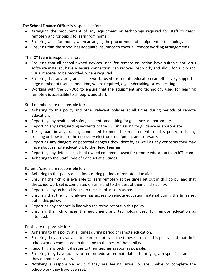The **School Finance Officer** is responsible for:

- Arranging the procurement of any equipment or technology required for staff to teach remotely and for pupils to learn from home.
- Ensuring value for money when arranging the procurement of equipment or technology.
- Ensuring that the school has adequate insurance to cover all remote working arrangements.

The **ICT team** is responsible for:

- Ensuring that all school-owned devices used for remote education have suitable anti-virus software installed, have a secure connection, can recover lost work, and allow for audio and visual material to be recorded, where required.
- Ensuring that any programs or networks used for remote education can effectively support a large number of users at one time, where required, e.g. undertaking 'stress' testing.
- Working with the SENDCo to ensure that the equipment and technology used for learning remotely is accessible to all pupils and staff.

Staff members are responsible for:

- Adhering to this policy and other relevant policies at all times during periods of remote education.
- Reporting any health and safety incidents and asking for guidance as appropriate.
- Reporting any safeguarding incidents to the DSL and asking for guidance as appropriate.
- Taking part in any training conducted to meet the requirements of this policy, including training on how to use the necessary electronic equipment and software.
- Reporting any dangers or potential dangers they identify, as well as any concerns they may have about remote education, to the **Head Teacher**.
- Reporting any defects on school-owned equipment used for remote education to an ICT team.
- Adhering to the Staff Code of Conduct at all times.

Parents/carers are responsible for:

- Adhering to this policy at all times during periods of remote education.
- Ensuring their child is available to learn remotely at the times set out in this policy, and that the schoolwork set is completed on time and to the best of their child's ability.
- Reporting any technical issues to the school as soon as possible.
- Ensuring that their child always has access to remote education material during the times set out in this policy.
- Reporting any absence in line with the terms set out in this policy.
- Ensuring their child uses the equipment and technology used for remote education as intended.

Pupils are responsible for:

- Adhering to this policy at all times during period of remote education.
- Ensuring they are available to learn remotely at the times set out in this policy, and that their schoolwork is completed on time and to the best of their ability.
- Reporting any technical issues to their teacher as soon as possible.
- Ensuring they have access to remote education material and notifying a responsible adult if they do not have access.
- Notifying a responsible adult if they are feeling unwell or are unable to complete the schoolwork they have been set.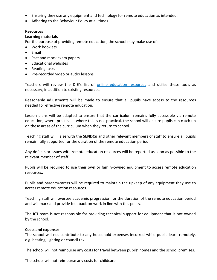- Ensuring they use any equipment and technology for remote education as intended.
- Adhering to the Behaviour Policy at all times.

#### **Resources**

#### **Learning materials**

For the purpose of providing remote education, the school may make use of:

- Work booklets
- Email
- Past and mock exam papers
- Educational websites
- Reading tasks
- Pre-recorded video or audio lessons

Teachers will review the DfE's list of [online](https://www.gov.uk/government/publications/coronavirus-covid-19-online-education-resources) education resources and utilise these tools as necessary, in addition to existing resources.

Reasonable adjustments will be made to ensure that all pupils have access to the resources needed for effective remote education.

Lesson plans will be adapted to ensure that the curriculum remains fully accessible via remote education, where practical – where this is not practical, the school will ensure pupils can catch up on these areas of the curriculum when they return to school.

Teaching staff will liaise with the **SENDCo** and other relevant members of staff to ensure all pupils remain fully supported for the duration of the remote education period.

Any defects or issues with remote education resources will be reported as soon as possible to the relevant member of staff.

Pupils will be required to use their own or family-owned equipment to access remote education resources.

Pupils and parents/carers will be required to maintain the upkeep of any equipment they use to access remote education resources.

Teaching staff will oversee academic progression for the duration of the remote education period and will mark and provide feedback on work in line with this policy.

The **ICT** team is not responsible for providing technical support for equipment that is not owned by the school.

#### **Costs and expenses**

The school will not contribute to any household expenses incurred while pupils learn remotely, e.g. heating, lighting or council tax.

The school will not reimburse any costs for travel between pupils' homes and the school premises.

The school will not reimburse any costs for childcare.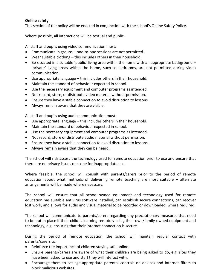# **Online safety**

This section of the policy will be enacted in conjunction with the school's Online Safety Policy.

Where possible, all interactions will be textual and public.

All staff and pupils using video communication must:

- Communicate in groups one-to-one sessions are not permitted.
- Wear suitable clothing this includes others in their household.
- $\bullet$  Be situated in a suitable 'public' living area within the home with an appropriate background  $-$ 'private' living areas within the home, such as bedrooms, are not permitted during video communication.
- Use appropriate language this includes others in their household.
- Maintain the standard of behaviour expected in school.
- Use the necessary equipment and computer programs as intended.
- Not record, store, or distribute video material without permission.
- Ensure they have a stable connection to avoid disruption to lessons.
- Always remain aware that they are visible.

All staff and pupils using audio communication must:

- Use appropriate language this includes others in their household.
- Maintain the standard of behaviour expected in school.
- Use the necessary equipment and computer programs as intended.
- Not record, store or distribute audio material without permission.
- Ensure they have a stable connection to avoid disruption to lessons.
- Always remain aware that they can be heard.

The school will risk assess the technology used for remote education prior to use and ensure that there are no privacy issues or scope for inappropriate use.

Where feasible, the school will consult with parents/carers prior to the period of remote education about what methods of delivering remote teaching are most suitable – alternate arrangements will be made where necessary.

The school will ensure that all school-owned equipment and technology used for remote education has suitable antivirus software installed, can establish secure connections, can recover lost work, and allows for audio and visual material to be recorded or downloaded, where required.

The school will communicate to parents/carers regarding any precautionary measures that need to be put in place if their child is learning remotely using their own/family-owned equipment and technology, e.g. ensuring that their internet connection is secure.

During the period of remote education, the school will maintain regular contact with parents/carers to:

- Reinforce the importance of children staying safe online.
- Ensure parents/carers are aware of what their children are being asked to do, e.g. sites they have been asked to use and staff they will interact with.
- Encourage them to set age-appropriate parental controls on devices and internet filters to block malicious websites.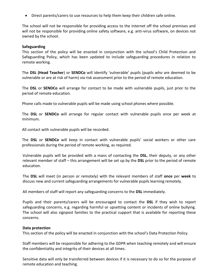Direct parents/carers to use resources to help them keep their children safe online.

The school will not be responsible for providing access to the internet off the school premises and will not be responsible for providing online safety software, e.g. anti-virus software, on devices not owned by the school.

#### **Safeguarding**

This section of the policy will be enacted in conjunction with the school's Child Protection and Safeguarding Policy, which has been updated to include safeguarding procedures in relation to remote working.

The **DSL (Head Teacher**) or **SENDCo** will identify 'vulnerable' pupils (pupils who are deemed to be vulnerable or are at risk of harm) via risk assessment prior to the period of remote education.

The **DSL** or **SENDCo** will arrange for contact to be made with vulnerable pupils, just prior to the period of remote education.

Phone calls made to vulnerable pupils will be made using school phones where possible.

The **DSL** or **SENDCo** will arrange for regular contact with vulnerable pupils once per week at minimum.

All contact with vulnerable pupils will be recorded.

The **DSL** or **SENDCo** will keep in contact with vulnerable pupils' social workers or other care professionals during the period of remote working, as required.

Vulnerable pupils will be provided with a mans of contacting the **DSL**, their deputy, or any other relevant member of staff – this arrangement will be set up by the **DSL** prior to the period of remote education.

The **DSL** will meet (in person or remotely) with the relevant members of staff **once** per **week** to discuss new and current safeguarding arrangements for vulnerable pupils learning remotely.

All members of staff will report any safeguarding concerns to the **DSL** immediately.

Pupils and their parents/carers will be encouraged to contact the **DSL** if they wish to report safeguarding concerns, e.g. regarding harmful or upsetting content or incidents of online bullying. The school will also signpost families to the practical support that is available for reporting these concerns.

#### **Data protection**

This section of the policy will be enacted in conjunction with the school's Data Protection Policy.

Staff members will be responsible for adhering to the GDPR when teaching remotely and will ensure the confidentiality and integrity of their devices at all times.

Sensitive data will only be transferred between devices if it is necessary to do so for the purpose of remote education and teaching.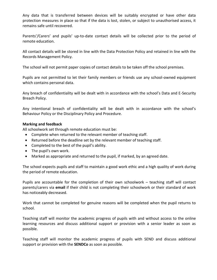Any data that is transferred between devices will be suitably encrypted or have other data protection measures in place so that if the data is lost, stolen, or subject to unauthorised access, it remains safe until recovered.

Parents'/Carers' and pupils' up-to-date contact details will be collected prior to the period of remote education.

All contact details will be stored in line with the Data Protection Policy and retained in line with the Records Management Policy.

The school will not permit paper copies of contact details to be taken off the school premises.

Pupils are not permitted to let their family members or friends use any school-owned equipment which contains personal data.

Any breach of confidentiality will be dealt with in accordance with the school's Data and E-Security Breach Policy.

Any intentional breach of confidentiality will be dealt with in accordance with the school's Behaviour Policy or the Disciplinary Policy and Procedure.

# **Marking and feedback**

All schoolwork set through remote education must be:

- Complete when returned to the relevant member of teaching staff.
- Returned before the deadline set by the relevant member of teaching staff.
- Completed to the best of the pupil's ability.
- The pupil's own work.
- Marked as appropriate and returned to the pupil, if marked, by an agreed date.

The school expects pupils and staff to maintain a good work ethic and a high quality of work during the period of remote education.

Pupils are accountable for the completion of their own schoolwork – teaching staff will contact parents/carers via **email** if their child is not completing their schoolwork or their standard of work has noticeably decreased.

Work that cannot be completed for genuine reasons will be completed when the pupil returns to school.

Teaching staff will monitor the academic progress of pupils with and without access to the online learning resources and discuss additional support or provision with a senior leader as soon as possible.

Teaching staff will monitor the academic progress of pupils with SEND and discuss additional support or provision with the **SENDCo** as soon as possible.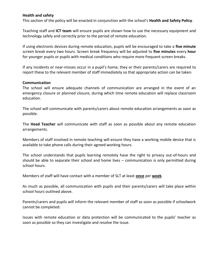# **Health and safety**

This section of the policy will be enacted in conjunction with the school's **Health and Safety Policy**.

Teaching staff and **ICT team** will ensure pupils are shown how to use the necessary equipment and technology safely and correctly prior to the period of remote education.

If using electronic devices during remote education, pupils will be encouraged to take a **five minute** screen break every two hours. Screen break frequency will be adjusted to **five minutes** every **hour** for younger pupils or pupils with medical conditions who require more frequent screen breaks.

If any incidents or near-misses occur in a pupil's home, they or their parents/carers are required to report these to the relevant member of staff immediately so that appropriate action can be taken.

#### **Communication**

The school will ensure adequate channels of communication are arranged in the event of an emergency closure or planned closure, during which time remote education will replace classroom education.

The school will communicate with parents/carers about remote education arrangements as soon as possible.

The **Head Teacher** will communicate with staff as soon as possible about any remote education arrangements.

Members of staff involved in remote teaching will ensure they have a working mobile device that is available to take phone calls during their agreed working hours.

The school understands that pupils learning remotely have the right to privacy out-of-hours and should be able to separate their school and home lives – communication is only permitted during school hours.

Members of staff will have contact with a member of SLT at least **once** per **week**.

As much as possible, all communication with pupils and their parents/carers will take place within school hours outlined above.

Parents/carers and pupils will inform the relevant member of staff as soon as possible if schoolwork cannot be completed.

Issues with remote education or data protection will be communicated to the pupils' teacher as soon as possible so they can investigate and resolve the issue.